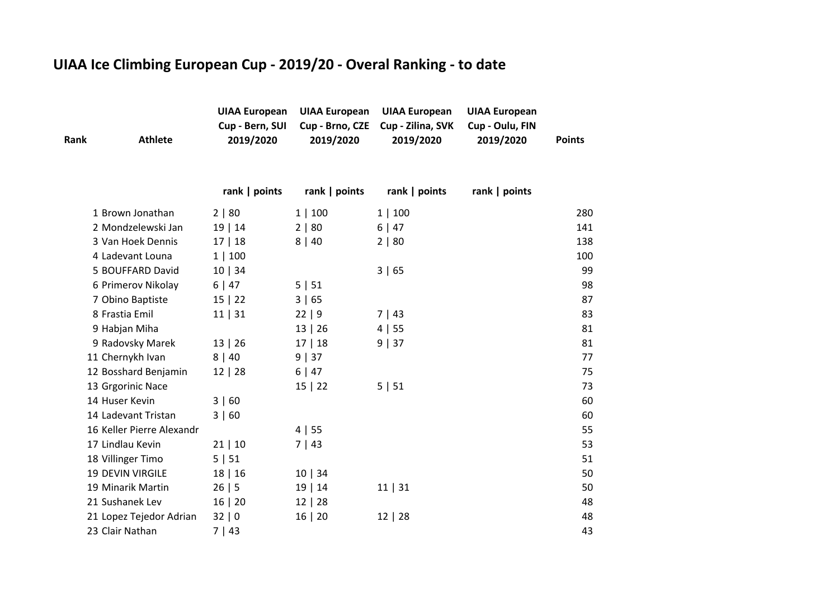## **UIAA Ice Climbing European Cup - 2019/20 - Overal Ranking - to date**

| Rank | <b>Athlete</b>            | <b>UIAA European</b><br>Cup - Bern, SUI<br>2019/2020 | <b>UIAA European</b><br>Cup - Brno, CZE<br>2019/2020 | <b>UIAA European</b><br>Cup - Zilina, SVK<br>2019/2020 | <b>UIAA European</b><br>Cup - Oulu, FIN<br>2019/2020 | <b>Points</b> |
|------|---------------------------|------------------------------------------------------|------------------------------------------------------|--------------------------------------------------------|------------------------------------------------------|---------------|
|      |                           | rank $ $ points                                      | rank $ $ points                                      | rank   points                                          | rank   points                                        |               |
|      | 1 Brown Jonathan          | 2   80                                               | 1   100                                              | 1   100                                                |                                                      | 280           |
|      | 2 Mondzelewski Jan        | 19   14                                              | 2   80                                               | 6 47                                                   |                                                      | 141           |
|      | 3 Van Hoek Dennis         | 17   18                                              | 8   40                                               | 2   80                                                 |                                                      | 138           |
|      | 4 Ladevant Louna          | 1   100                                              |                                                      |                                                        |                                                      | 100           |
|      | 5 BOUFFARD David          | 10   34                                              |                                                      | 3   65                                                 |                                                      | 99            |
|      | 6 Primerov Nikolay        | 6 47                                                 | 5   51                                               |                                                        |                                                      | 98            |
|      | 7 Obino Baptiste          | 15   22                                              | 3   65                                               |                                                        |                                                      | 87            |
|      | 8 Frastia Emil            | 11   31                                              | 22   9                                               | 7   43                                                 |                                                      | 83            |
|      | 9 Habjan Miha             |                                                      | 13   26                                              | 4 55                                                   |                                                      | 81            |
|      | 9 Radovsky Marek          | 13   26                                              | 17   18                                              | 9   37                                                 |                                                      | 81            |
|      | 11 Chernykh Ivan          | 8   40                                               | 9   37                                               |                                                        |                                                      | 77            |
|      | 12 Bosshard Benjamin      | 12   28                                              | 6 47                                                 |                                                        |                                                      | 75            |
|      | 13 Grgorinic Nace         |                                                      | 15   22                                              | 5 51                                                   |                                                      | 73            |
|      | 14 Huser Kevin            | 3   60                                               |                                                      |                                                        |                                                      | 60            |
|      | 14 Ladevant Tristan       | 3   60                                               |                                                      |                                                        |                                                      | 60            |
|      | 16 Keller Pierre Alexandr |                                                      | 4   55                                               |                                                        |                                                      | 55            |
|      | 17 Lindlau Kevin          | 21   10                                              | 7   43                                               |                                                        |                                                      | 53            |
|      | 18 Villinger Timo         | 5 51                                                 |                                                      |                                                        |                                                      | 51            |
|      | <b>19 DEVIN VIRGILE</b>   | 18   16                                              | 10   34                                              |                                                        |                                                      | 50            |
|      | 19 Minarik Martin         | 26 5                                                 | 19   14                                              | 11   31                                                |                                                      | 50            |
|      | 21 Sushanek Lev           | 16   20                                              | 12 28                                                |                                                        |                                                      | 48            |
|      | 21 Lopez Tejedor Adrian   | 32   0                                               | 16   20                                              | 12   28                                                |                                                      | 48            |
|      | 23 Clair Nathan           | 7 43                                                 |                                                      |                                                        |                                                      | 43            |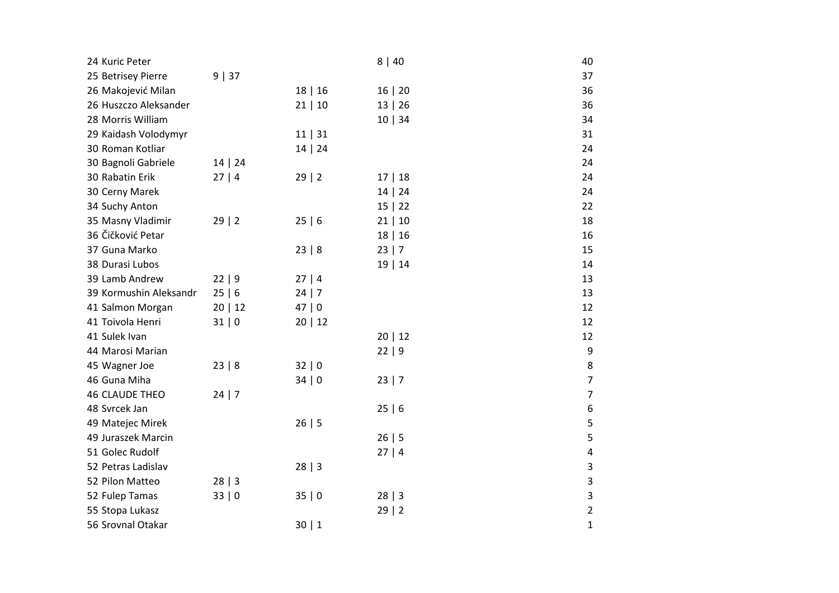| 24 Kuric Peter         |             |             | 8 40    | 40             |
|------------------------|-------------|-------------|---------|----------------|
| 25 Betrisey Pierre     | 9   37      |             |         | 37             |
| 26 Makojević Milan     |             | 18   16     | 16   20 | 36             |
| 26 Huszczo Aleksander  |             | 21   10     | 13   26 | 36             |
| 28 Morris William      |             |             | 10   34 | 34             |
| 29 Kaidash Volodymyr   |             | 11   31     |         | 31             |
| 30 Roman Kotliar       |             | 14   24     |         | 24             |
| 30 Bagnoli Gabriele    | 14   24     |             |         | 24             |
| 30 Rabatin Erik        | 27 4        | 29   2      | 17   18 | 24             |
| 30 Cerny Marek         |             |             | 14   24 | 24             |
| 34 Suchy Anton         |             |             | 15   22 | 22             |
| 35 Masny Vladimir      | 29   2      | 25   6      | 21   10 | 18             |
| 36 Čičković Petar      |             |             | 18   16 | 16             |
| 37 Guna Marko          |             | 23   8      | 23   7  | 15             |
| 38 Durasi Lubos        |             |             | 19   14 | 14             |
| 39 Lamb Andrew         | 22   9      | 27 4        |         | 13             |
| 39 Kormushin Aleksandr | 25 6        | 24   7      |         | 13             |
| 41 Salmon Morgan       | 20   12     | 47 0        |         | 12             |
| 41 Toivola Henri       | 31 0        | 20   12     |         | 12             |
| 41 Sulek Ivan          |             |             | 20   12 | 12             |
| 44 Marosi Marian       |             |             | 22   9  | 9              |
| 45 Wagner Joe          | 23   8      | $32 \mid 0$ |         | 8              |
| 46 Guna Miha           |             | 34 0        | 23   7  | 7              |
| <b>46 CLAUDE THEO</b>  | $24 \mid 7$ |             |         | 7              |
| 48 Svrcek Jan          |             |             | 25 6    | 6              |
| 49 Matejec Mirek       |             | 26 5        |         | 5              |
| 49 Juraszek Marcin     |             |             | 26 5    | 5              |
| 51 Golec Rudolf        |             |             | 27 4    | 4              |
| 52 Petras Ladislav     |             | 28   3      |         | 3              |
| 52 Pilon Matteo        | $28 \mid 3$ |             |         | 3              |
| 52 Fulep Tamas         | 33   0      | 35 0        | 28   3  | 3              |
| 55 Stopa Lukasz        |             |             | 29   2  | $\overline{2}$ |
| 56 Srovnal Otakar      |             | 30 1        |         | 1              |